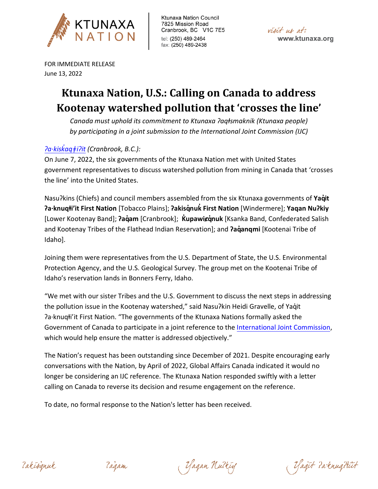

visit us at: www.ktunaxa.org

FOR IMMEDIATE RELEASE June 13, 2022

# **Ktunaxa Nation, U.S.: Calling on Canada to address Kootenay watershed pollution that 'crosses the line'**

*Canada must uphold its commitment to Ktunaxa ʔaqⱡsmaknik (Ktunaxa people) by participating in a joint submission to the International Joint Commission (IJC)*

# *[ʔa·kisk�aqǂiʔ](https://www.firstvoices.com/explore/FV/Workspaces/Data/Ktunaxa/Ktunaxa/Ktunaxa/learn/words/4e635f9f-9fb3-4b70-af16-7f491fc49858)it (Cranbrook, B.C.):*

On June 7, 2022, the six governments of the Ktunaxa Nation met with United States government representatives to discuss watershed pollution from mining in Canada that 'crosses the line' into the United States.

Nasuʔkins (Chiefs) and council members assembled from the six Ktunaxa governments of **Yaq̓it ʔa·knuqⱡi'it First Nation** [Tobacco Plains]; **ʔakisq̓nuk�First Nation** [Windermere]; **Yaqan Nuʔkiy** [Lower Kootenay Band]; **ʔaq̓am** [Cranbrook]; **K�upawiȼq̓nuk** [Ksanka Band, Confederated Salish and Kootenay Tribes of the Flathead Indian Reservation]; and **ʔaq̓anqmi** [Kootenai Tribe of Idaho].

Joining them were representatives from the U.S. Department of State, the U.S. Environmental Protection Agency, and the U.S. Geological Survey. The group met on the Kootenai Tribe of Idaho's reservation lands in Bonners Ferry, Idaho.

"We met with our sister Tribes and the U.S. Government to discuss the next steps in addressing the pollution issue in the Kootenay watershed," said Nasu?kin Heidi Gravelle, of Yaqıt ʔa·knuqⱡi'it First Nation. "The governments of the Ktunaxa Nations formally asked the Government of Canada to participate in a joint reference to the [International Joint Commission,](https://ijc.org/en) which would help ensure the matter is addressed objectively."

The Nation's request has been outstanding since December of 2021. Despite encouraging early conversations with the Nation, by April of 2022, Global Affairs Canada indicated it would no longer be considering an IJC reference. The Ktunaxa Nation responded swiftly with a letter calling on Canada to reverse its decision and resume engagement on the reference.

To date, no formal response to the Nation's letter has been received.

2 akisznak

(Yaqan Nutkiy

(Vagit Parknugttiit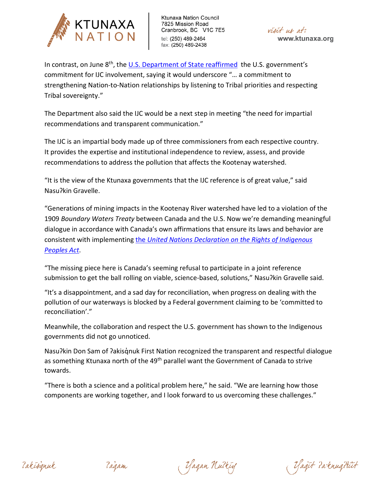

visit us at: www.ktunaxa.org

In contrast, on June 8<sup>th</sup>, the [U.S. Department of State reaffirmed](https://www.state.gov/support-for-international-joint-commission-recommendations-to-address-transboundary-pollution-from-mining/) the U.S. government's commitment for IJC involvement, saying it would underscore "… a commitment to strengthening Nation-to-Nation relationships by listening to Tribal priorities and respecting Tribal sovereignty."

The Department also said the IJC would be a next step in meeting "the need for impartial recommendations and transparent communication."

The IJC is an impartial body made up of three commissioners from each respective country. It provides the expertise and institutional independence to review, assess, and provide recommendations to address the pollution that affects the Kootenay watershed.

"It is the view of the Ktunaxa governments that the IJC reference is of great value," said Nasuʔkin Gravelle.

"Generations of mining impacts in the Kootenay River watershed have led to a violation of the 1909 *Boundary Waters Treaty* between Canada and the U.S. Now we're demanding meaningful dialogue in accordance with Canada's own affirmations that ensure its laws and behavior are consistent with implementing the *[United Nations Declaration on the Rights of Indigenous](https://www.justice.gc.ca/eng/declaration/index.html#:%7E:text=Next%20Steps-,The%20United%20Nations%20Declaration%20on%20the%20Rights%20of%20Indigenous%20Peoples,Assent%20and%20came%20into%20force.)  [Peoples Act](https://www.justice.gc.ca/eng/declaration/index.html#:%7E:text=Next%20Steps-,The%20United%20Nations%20Declaration%20on%20the%20Rights%20of%20Indigenous%20Peoples,Assent%20and%20came%20into%20force.)*.

"The missing piece here is Canada's seeming refusal to participate in a joint reference submission to get the ball rolling on viable, science-based, solutions," Nasu?kin Gravelle said.

"It's a disappointment, and a sad day for reconciliation, when progress on dealing with the pollution of our waterways is blocked by a Federal government claiming to be 'committed to reconciliation'."

Meanwhile, the collaboration and respect the U.S. government has shown to the Indigenous governments did not go unnoticed.

Nasu?kin Don Sam of ?akisgnuk First Nation recognized the transparent and respectful dialogue as something Ktunaxa north of the 49<sup>th</sup> parallel want the Government of Canada to strive towards.

"There is both a science and a political problem here," he said. "We are learning how those components are working together, and I look forward to us overcoming these challenges."

2 akisznak

(Yaqan Nutkiy

(Kağit ParknuqHiit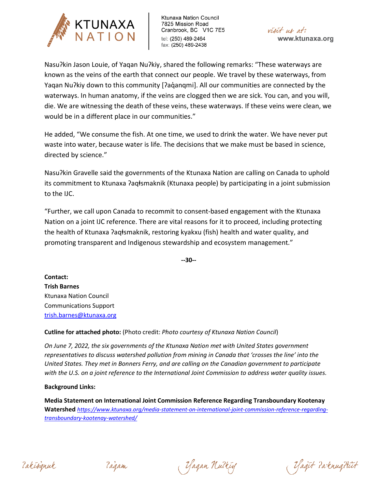



Nasuʔkin Jason Louie, of Yaqan Nuʔkiy, shared the following remarks: "These waterways are known as the veins of the earth that connect our people. We travel by these waterways, from Yaqan Nu?kiy down to this community [?aq̓anqmi]. All our communities are connected by the waterways. In human anatomy, if the veins are clogged then we are sick. You can, and you will, die. We are witnessing the death of these veins, these waterways. If these veins were clean, we would be in a different place in our communities."

He added, "We consume the fish. At one time, we used to drink the water. We have never put waste into water, because water is life. The decisions that we make must be based in science, directed by science."

Nasuʔkin Gravelle said the governments of the Ktunaxa Nation are calling on Canada to uphold its commitment to Ktunaxa ?aqłsmaknik (Ktunaxa people) by participating in a joint submission to the IJC.

"Further, we call upon Canada to recommit to consent-based engagement with the Ktunaxa Nation on a joint IJC reference. There are vital reasons for it to proceed, including protecting the health of Ktunaxa ?aqłsmaknik, restoring kyakxu (fish) health and water quality, and promoting transparent and Indigenous stewardship and ecosystem management."

**--30--**

**Contact: Trish Barnes** Ktunaxa Nation Council Communications Support [trish.barnes@ktunaxa.org](mailto:trish.barnes@ktunaxa.org)

**Cutline for attached photo:** (Photo credit: *Photo courtesy of Ktunaxa Nation Council*)

*On June 7, 2022, the six governments of the Ktunaxa Nation met with United States government representatives to discuss watershed pollution from mining in Canada that 'crosses the line' into the United States. They met in Bonners Ferry, and are calling on the Canadian government to participate with the U.S. on a joint reference to the International Joint Commission to address water quality issues.*

## **Background Links:**

**Media Statement on International Joint Commission Reference Regarding Transboundary Kootenay Watershed** *https://www.ktunaxa.org/media[-statement-on-international-joint-commission-reference-regarding](https://www.ktunaxa.org/media-statement-on-international-joint-commission-reference-regarding-transboundary-kootenay-watershed/)[transboundary-](https://www.ktunaxa.org/media-statement-on-international-joint-commission-reference-regarding-transboundary-kootenay-watershed/)kootenay-watershed/*

2 akisznak

Zagam

(Yaqan Nutkiy

(Vagit Parknugttiit